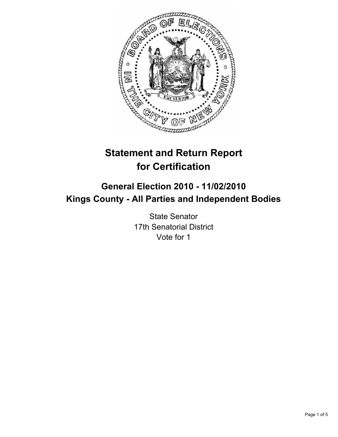

# **Statement and Return Report for Certification**

## **General Election 2010 - 11/02/2010 Kings County - All Parties and Independent Bodies**

State Senator 17th Senatorial District Vote for 1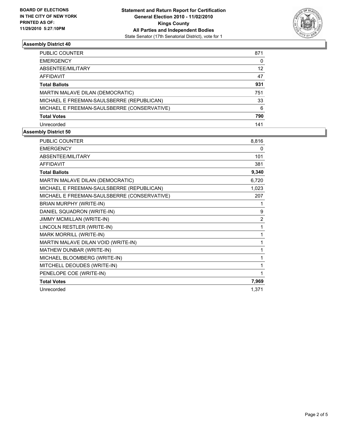

## **Assembly District 40**

| PUBLIC COUNTER                              | 871               |
|---------------------------------------------|-------------------|
| <b>EMERGENCY</b>                            | 0                 |
| ABSENTEE/MILITARY                           | $12 \overline{ }$ |
| <b>AFFIDAVIT</b>                            | 47                |
| <b>Total Ballots</b>                        | 931               |
| MARTIN MALAVE DILAN (DEMOCRATIC)            | 751               |
| MICHAEL E FREEMAN-SAULSBERRE (REPUBLICAN)   | 33                |
| MICHAEL E FREEMAN-SAULSBERRE (CONSERVATIVE) | 6                 |
| <b>Total Votes</b>                          | 790               |
| Unrecorded                                  | 141               |

## **Assembly District 50**

| <b>PUBLIC COUNTER</b>                       | 8,816          |
|---------------------------------------------|----------------|
| <b>EMERGENCY</b>                            | 0              |
| <b>ABSENTEE/MILITARY</b>                    | 101            |
| <b>AFFIDAVIT</b>                            | 381            |
| <b>Total Ballots</b>                        | 9,340          |
| MARTIN MALAVE DILAN (DEMOCRATIC)            | 6,720          |
| MICHAEL E FREEMAN-SAULSBERRE (REPUBLICAN)   | 1,023          |
| MICHAEL E FREEMAN-SAULSBERRE (CONSERVATIVE) | 207            |
| BRIAN MURPHY (WRITE-IN)                     | 1              |
| DANIEL SQUADRON (WRITE-IN)                  | 9              |
| JIMMY MCMILLAN (WRITE-IN)                   | $\overline{2}$ |
| LINCOLN RESTLER (WRITE-IN)                  | 1              |
| MARK MORRILL (WRITE-IN)                     | 1              |
| MARTIN MALAVE DILAN VOID (WRITE-IN)         | 1              |
| MATHEW DUNBAR (WRITE-IN)                    | 1              |
| MICHAEL BLOOMBERG (WRITE-IN)                | 1              |
| MITCHELL DEOUDES (WRITE-IN)                 | 1              |
| PENELOPE COE (WRITE-IN)                     | 1              |
| <b>Total Votes</b>                          | 7,969          |
| Unrecorded                                  | 1,371          |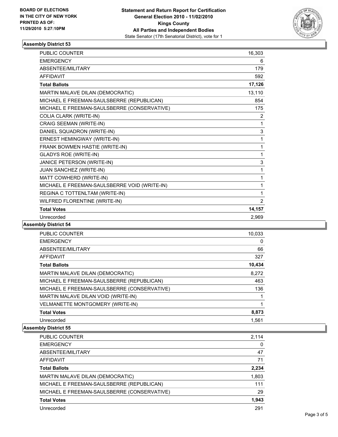

#### **Assembly District 53**

| <b>PUBLIC COUNTER</b>                        | 16,303 |
|----------------------------------------------|--------|
| <b>EMERGENCY</b>                             | 6      |
| ABSENTEE/MILITARY                            | 179    |
| <b>AFFIDAVIT</b>                             | 592    |
| <b>Total Ballots</b>                         | 17,126 |
| MARTIN MALAVE DILAN (DEMOCRATIC)             | 13,110 |
| MICHAEL E FREEMAN-SAULSBERRE (REPUBLICAN)    | 854    |
| MICHAEL E FREEMAN-SAULSBERRE (CONSERVATIVE)  | 175    |
| COLIA CLARK (WRITE-IN)                       | 2      |
| CRAIG SEEMAN (WRITE-IN)                      | 1      |
| DANIEL SQUADRON (WRITE-IN)                   | 3      |
| ERNEST HEMINGWAY (WRITE-IN)                  | 1      |
| FRANK BOWMEN HASTIE (WRITE-IN)               | 1      |
| <b>GLADYS ROE (WRITE-IN)</b>                 | 1      |
| JANICE PETERSON (WRITE-IN)                   | 3      |
| JUAN SANCHEZ (WRITE-IN)                      | 1      |
| MATT COWHERD (WRITE-IN)                      | 1      |
| MICHAEL E FREEMAN-SAULSBERRE VOID (WRITE-IN) | 1      |
| REGINA C TOTTENLTAM (WRITE-IN)               | 1      |
| WILFRED FLORENTINE (WRITE-IN)                | 2      |
| <b>Total Votes</b>                           | 14,157 |
| Unrecorded                                   | 2.969  |

## **Assembly District 54**

| 10,033 |
|--------|
|        |
| 0      |
| 66     |
| 327    |
| 10,434 |
| 8,272  |
| 463    |
| 136    |
|        |
|        |
| 8,873  |
| 1,561  |
|        |

#### **Assembly District 55**

| <b>PUBLIC COUNTER</b>                       | 2.114    |
|---------------------------------------------|----------|
| <b>EMERGENCY</b>                            | $\Omega$ |
| ABSENTEE/MILITARY                           | 47       |
| AFFIDAVIT                                   | 71       |
| <b>Total Ballots</b>                        | 2,234    |
| MARTIN MALAVE DILAN (DEMOCRATIC)            | 1,803    |
| MICHAEL E FREEMAN-SAULSBERRE (REPUBLICAN)   | 111      |
| MICHAEL E FREEMAN-SAULSBERRE (CONSERVATIVE) | 29       |
| <b>Total Votes</b>                          | 1,943    |
| Unrecorded                                  | 291      |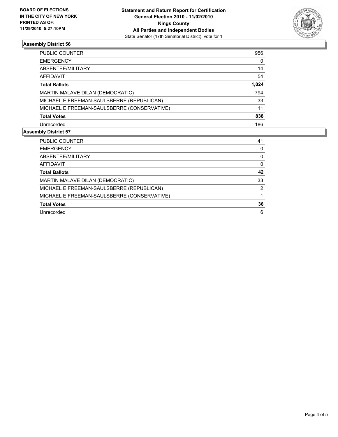

## **Assembly District 56**

| PUBLIC COUNTER                              | 956   |
|---------------------------------------------|-------|
| <b>EMERGENCY</b>                            | 0     |
| ABSENTEE/MILITARY                           | 14    |
| <b>AFFIDAVIT</b>                            | 54    |
| <b>Total Ballots</b>                        | 1,024 |
| MARTIN MALAVE DILAN (DEMOCRATIC)            | 794   |
| MICHAEL E FREEMAN-SAULSBERRE (REPUBLICAN)   | 33    |
| MICHAEL E FREEMAN-SAULSBERRE (CONSERVATIVE) | 11    |
| <b>Total Votes</b>                          | 838   |
| Unrecorded                                  | 186   |
|                                             |       |

## **Assembly District 57**

| <b>PUBLIC COUNTER</b>                       | 41 |
|---------------------------------------------|----|
| <b>EMERGENCY</b>                            | 0  |
| ABSENTEE/MILITARY                           | 0  |
| AFFIDAVIT                                   | 0  |
| <b>Total Ballots</b>                        | 42 |
| MARTIN MALAVE DILAN (DEMOCRATIC)            | 33 |
| MICHAEL E FREEMAN-SAULSBERRE (REPUBLICAN)   | 2  |
| MICHAEL E FREEMAN-SAULSBERRE (CONSERVATIVE) |    |
| <b>Total Votes</b>                          | 36 |
| Unrecorded                                  | 6  |